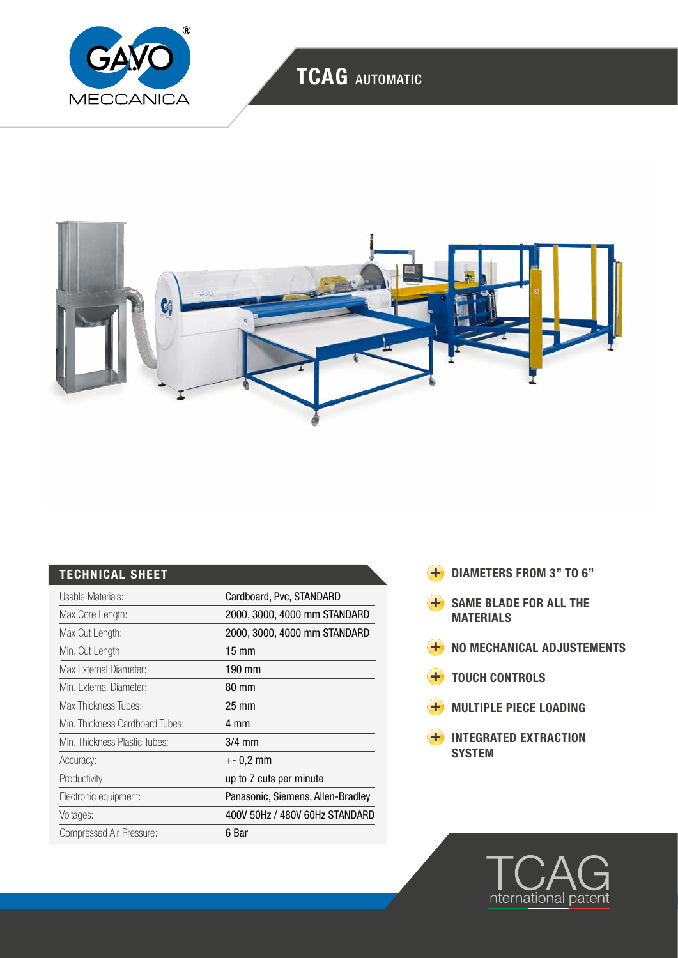

# TCAG AUTOMATIC



### TECHNICAL SHEET

| Usable Materials:               | Cardboard, Pvc, STANDARD          |
|---------------------------------|-----------------------------------|
| Max Core Length:                | 2000, 3000, 4000 mm STANDARD      |
| Max Cut Length:                 | 2000, 3000, 4000 mm STANDARD      |
| Min. Cut Length:                | $15 \text{ mm}$                   |
| Max External Diameter:          | 190 mm                            |
| Min. External Diameter:         | 80 mm                             |
| Max Thickness Tubes:            | $25 \text{ mm}$                   |
| Min. Thickness Cardboard Tubes: | 4 mm                              |
| Min. Thickness Plastic Tubes:   | $3/4$ mm                          |
| Accuracy:                       | +- 0,2 mm                         |
| Productivity:                   | up to 7 cuts per minute           |
| Electronic equipment:           | Panasonic, Siemens, Allen-Bradley |
| Voltages:                       | 400V 50Hz / 480V 60Hz STANDARD    |
| Compressed Air Pressure:        | 6 Bar                             |

- **+** DIAMETERS FROM 3" TO 6"
- SAME BLADE FOR ALL THE MATERIALS
- **H** NO MECHANICAL ADJUSTEMENTS
- **+** TOUCH CONTROLS
- **H** MULTIPLE PIECE LOADING
- **H** INTEGRATED EXTRACTION SYSTEM